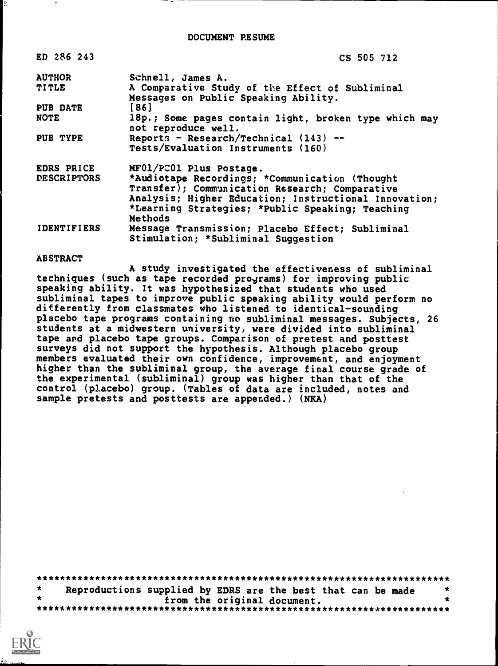| ED 286 243         | CS 505 712                                                                              |
|--------------------|-----------------------------------------------------------------------------------------|
| <b>AUTHOR</b>      | Schnell, James A.                                                                       |
| <b>TITLE</b>       | A Comparative Study of the Effect of Subliminal<br>Messages on Public Speaking Ability. |
| PUB DATE           | [86]                                                                                    |
| <b>NOTE</b>        | 18p.; Some pages contain light, broken type which may<br>not reproduce well.            |
| PUB TYPE           | Reports - Research/Technical $(143)$ --<br>Tests/Evaluation Instruments (160)           |
| EDRS PRICE         | MF01/PC01 Plus Postage.                                                                 |
| <b>DESCRIPTORS</b> | *Audiotape Recordings; *Communication (Thought                                          |
|                    | Transfer); Communication Research; Comparative                                          |
|                    | Analysis; Higher Education; Instructional Innovation;                                   |
|                    | *Learning Strategies; *Public Speaking; Teaching                                        |
|                    | Methods                                                                                 |
| <b>IDENTIFIERS</b> | Message Transmission; Placebo Effect; Subliminal                                        |

### **ABSTRACT**

A study investigated the effectiveness of subliminal techniques (such as tape recorded programs) for improving public speaking ability. It was hypothesized that students who used subliminal tapes to improve public speaking ability would perform no differently from classmates who listened to identical-sounding placebo tape programs containing no subliminal messages. Subjects, 26 students at a midwestern university, were divided into subliminal tape and placebo tape groups. Comparison of pretest and posttest surveys did not support the hypothesis. Although placebo group members evaluated their own confidence, improvement, and enjoyment higher than the subliminal group, the average final course grade of the experimental (subliminal) group was higher than that of the control (placebo) group. (Tables of data are included, notes and sample pretests and posttests are appended.) (NKA)

Stimulation; \*Subliminal Suggestion

| $\star$ | Reproductions supplied by EDRS are the best that can be made |                             |  |  |
|---------|--------------------------------------------------------------|-----------------------------|--|--|
|         |                                                              | from the original document. |  |  |
|         |                                                              |                             |  |  |

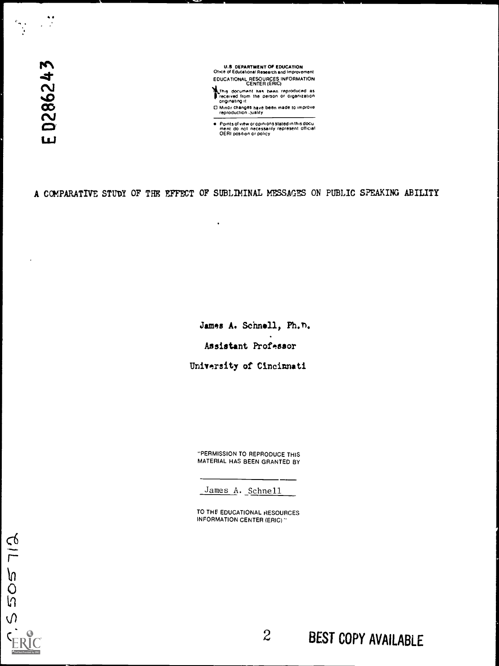$\mathbf{N}$  $\sim$ 

 $\cdot$ 

U.S DEPARTMENT OF EDUCATION<br>Ofrice of Educational Research and Improvement Office of Educational Research and Improvement<br>EDUCATIONAL RESOURCES INFORMATION<br>CENTER (ERIC)

This document has been reproduced as<br>
freceived from the person or organization<br>
originating it 0 Minor changes have been made to improve reproduction ,;uality

Points of view or opinions stated in this docu ment do not necessarily represent official OERI position or policy

A COMPARATIVE STUDY OF THE EFFECT OF SUBLIMINAL MESSAGES ON PUBLIC SPEAKING ABILITY

 $\bullet$ 

James A. Schnell, Ph. n. Assistant Professor University of Cincinnati

"PERMISSION TO REPRODUCE THIS MATERIAL HAS BEEN GRANTED BY

James A. Schnell

TO THE EDUCATIONAL RESOURCES INFORMATION CENTER (ERIC)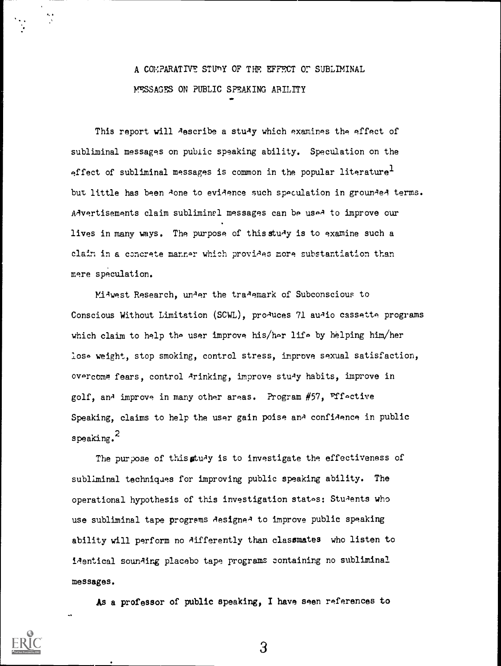## A COMPARATIVE STUnY OF THE. EFFECT Or SUBLIMINAL MSAGES ON PUBLIC SPEAKING ABILITY

 $\bullet$ 

This report will describe a study which examines the effect of subliminal messages on public speaking ability. Speculation on the effect of subliminal messages is common in the popular literature<sup>1</sup> but little has been done to evidence such speculation in grounded terms. Advertisements claim subliminal messages can be used to improve our lives in many ways. The purpose of this study is to examine such a claim in a concrete manner which provides more substantiation than mere speculation.

Midwest Research, under the trademark of Subconscious to Conscious Without Limitation (SCWL), pro<sup>quees</sup> 71 au<sup>xio</sup> cassette programs which claim to help the user improve his/her life by helping him/her lose weight, stop smoking, control stress, improve sexual satisfaction, overcome fears, control Arinking, improve stu<sup>4</sup>y habits, improve in golf, and improve in many other areas. Program  $#57$ , Fifective Speaking, claims to help the user gain poise an' confiAence in public speaking.<sup>2</sup>

The purpose of this study is to investigate the effectiveness of subliminal techniques for improving public speaking ability. The operational hypothesis of this investigation states: Students who use subliminal tape programs AesigneA to improve public speaking ability will perform no differently than classmates who listen to iAsntical sounAing placebo tape programs containing no subliminal messages.

As a professor of public speaking, I have seen references to

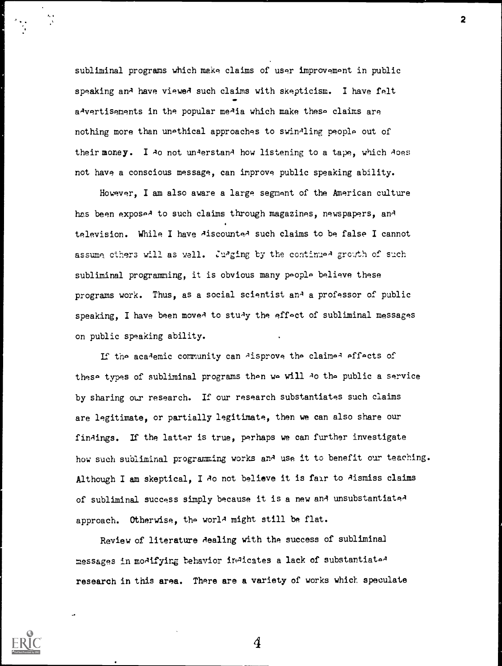subliminal programs which make claims of user improvement in public speaking and have viewed such claims with skepticism. I have felt a'vertisements in the popular me'ia which make these claims are nothing more than unethical approaches to swinAling people out of their money. I Ao not understand how listening to a tape, which does not have a conscious message, can improve public speaking ability.

2

However, I am also aware a large segment of the American culture has been exposed to such claims through magazines, newspapers, and television. While I have AiscounteA such claims to be false I cannot assume others will as well. Juaging by the continued growth of such subliminal programming, it is obvious many poople believe these programs work. Thus, as a social scientist and a professor of public speaking, I have been moved to study the effect of subliminal messages on public speaking ability.

If the academic community can Aisprove the claimed effects of these types of subliminal programs then we will Ao the public a service by sharing our research. If our research substantiates such claims are legitimate, or partially legitimate, then we can also share our finAings. If the latter is true, perhaps we can further investigate how such subliminal programming works and use it to benefit our teaching. Although I am skeptical, I Ao not believe it is fair to Aismiss claims of subliminal success simply because it is a new and unsubstantiateA approach. Otherwise, the world might still be flat.

Review of literature dealing with the success of subliminal messages in moAifying behavior inAicates a lack of substantiateA research in this area. There are a variety of works which speculate

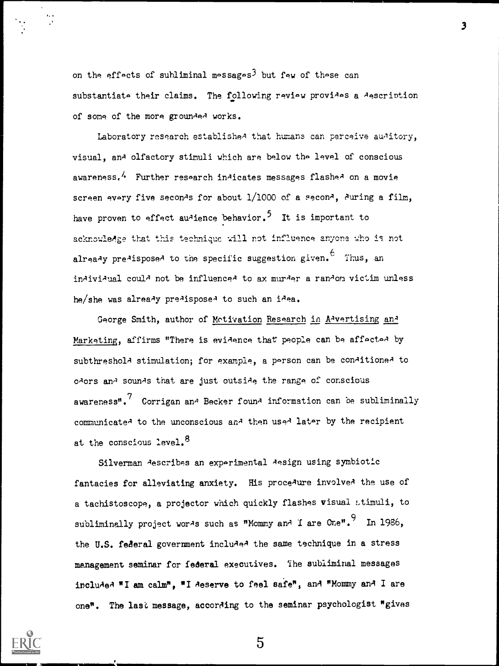on the effects of subliminal messages<sup>3</sup> but few of these can substantiate their claims. The following review provides a Aescription of some of the more grounded works.

Laboratory research establishe<sup> $A$ </sup> that humans can perceive au<sup>xitory</sup>, visual, and olfactory stimuli which are below the level of conscious awareness.<sup>4</sup> Further research indicates messages flashed on a movie screen every five seconds for about  $1/1000$  of a second, during a film, have proven to effect audience behavior.<sup>5</sup> It is important to acknowledge that this technique will not influence anyone who is not alrea $\lambda$ y pre $\lambda$ ispose $\lambda$  to the specific suggestion given.  $\epsilon$  Thus, an individual could not be influenced to ax murder a random victim unless he/she was already predisposed to such an idea.

George Smith, author of Motivation Research in A-vertising an-Marketing, affirms "There is evidence that people can be affected by subthreshola stimulation; for example, a person can be conaitionea to odors and sounds that are just outside the range of conscious awareness". $\frac{7}{2}$  Corrigan an $\frac{3}{2}$  Becker foun $\frac{3}{2}$  information can be subliminally communicate' to the unconscious an' then used later by the recipient at the conscious level.<sup>8</sup>

Silverman describes an experimental design using symbiotic fantacies for alleviating anxiety. His proce<sup>xure</sup> involved the use of a tachistoscope, a projector which quickly flashes visual stimuli, to subliminally project wor<sup>g</sup>s such as "Mommy and I are One". In 1986, the U.S. federal government incluAeA the same technique in a stress management seminar for federal executives. The subliminal messages included "I am calm", "I deserve to feel safe", and "Mommy and I are one". The last message, according to the seminar psychologist "gives

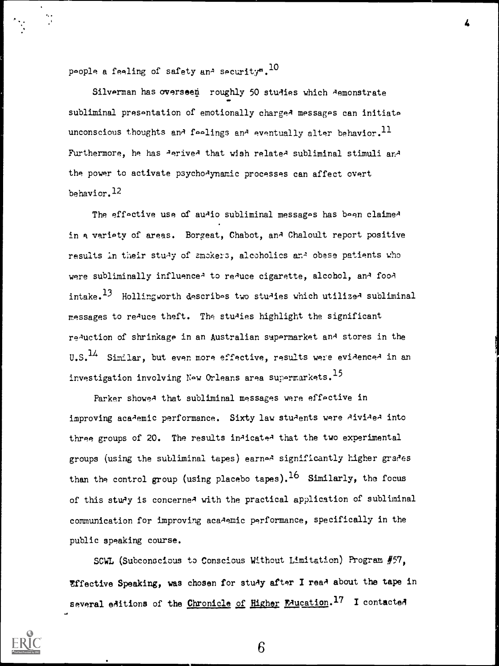people a feeling of safety and security".  $^{10}$ 

Silverman has overseen roughly 50 studies which Aemonstrate subliminal presentation of emotionally charged messages can initiate unconscious thoughts and feelings and eventually alter behavior.<sup>11</sup> Furthermore, he has AeriveA that wish relateA subliminal stimuli and the power to activate psycho-lynamic processes can affect overt behavior.<sup>12</sup>

The effective use of audio subliminal messages has been claimed in a variety of areas. Borgeat, Chabot, and Chaloult report positive results in their stuAy of smokers, alcoholics anA obese patients who were subliminally influence<sup>1</sup> to re<sup>1</sup>uce cigarette, alcohol, an<sup>1</sup> foo1 intake.<sup>13</sup> Hollingworth describes two studies which utilized subliminal messages to reAuce theft. The stuAies highlight the significant reAuction of shrinkage in an Australian supermarket and stores in the U.S.<sup>14</sup> Similar, but even more effective, results were evidenced in an investigation involving New Orleans area supermarkets.<sup>15</sup>

Parker showed that subliminal messages were effective in improving academic performance. Sixty law students were divided into three groups of 20. The results indicated that the two experimental groups (using the subliminal tapes) earned significantly higher grades than the control group (using placebo tapes).<sup>16</sup> Similarly, the focus of this study is concerned with the practical application of subliminal communication for improving academic performance, specifically in the public speaking course.

SCWL (Subconscious to Conscious Without Limitation) Program #57, Effective Speaking, was chosen for study after I read about the tape in several editions of the Chronicle of Higher Foucation.<sup>17</sup> I contacted



6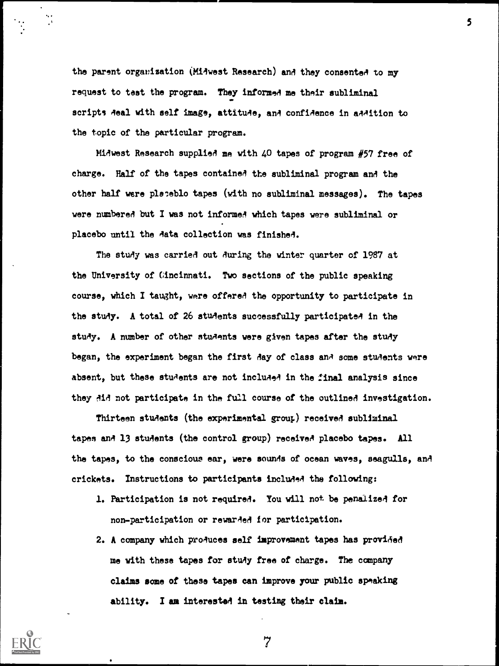the parent organisation (Midwest Research) and they consented to my request to test the program. They informed me their subliminal scripts Aeal with self image, attitude, and confidence in addition to the topic of the particular program.

Midwest Research supplied me with  $40$  tapes of program  $#57$  free of charge. Half of the tapes contained the subliminal program and the other half were pleceblo tapes (with no subliminal messages). The tapes were numbered but I was not informed which tapes were subliminal or placebo until the Aata collection was finished.

The study was carried out during the winter quarter of 1987 at the University of Cincinnati. Two sections of the public speaking course, which I taught, were offered the opportunity to participate in the study. A total of 26 students successfully participated in the study. A number of other students were given tapes after the study began, the experiment began the first day of class and some students were absent, but these students are not included in the final analysis since they Aid not participate in the full course of the outlined investigation.

Thirteen students (the experimental grow.) received subliminal tapes and 13 students (the control group) received placebo tapes. All the tapes, to the conscious ear, were sounds of ocean waves, seagulls, and crickets. Instructions to participants included the following:

- 1. Participation is not required. You will not be penalized for non-participation or rewarded for participation.
- 2. A company which produces self improvement tapes has provided me with these tapes for stuAy free of charge. The company claims some of these tapes can improve your public speaking ability. I am interested in testing their claim.



7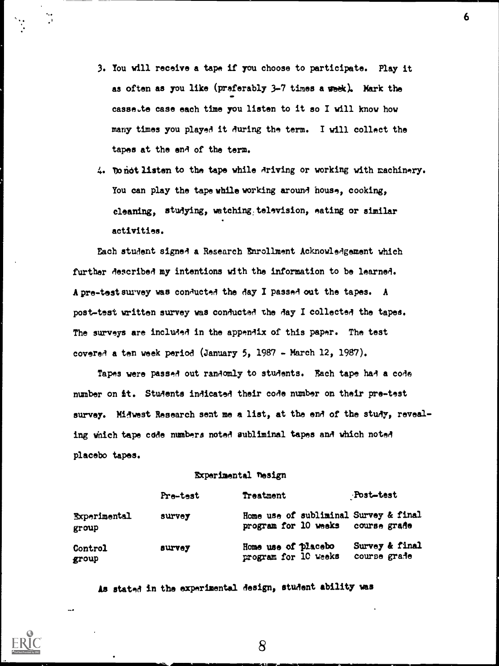3. You will receive a tape if you choose to participate. Play it as often as you like (preferably 3-7 times a week). Mark the casse.te case each time you listen to it so I will know how many times you played it during the term. I will collect the tapes at the end of the term.

6

4. Donot listen to the tape while driving or working with machinery. You can play the tape while working around house, cooking, cleaning, studying, watching: television, eating or similar activities.

Each student signed a Research Enrollment Acknowledgement which further described my intentions with the information to be learned. A pre-test survey was conducted the day I passed out the tapes. A post-test written survey was conducted the Aay I collected the tapes. The surveys are included in the appendix of this paper. The test covered a ten week period (January 5, 1987 - March 12, 1987).

Tapes were passed out randomly to students. Each tape had a code number on it. Students indicated their code number on their pre-test survey. Midwest Research sent me a list, at the end of the study, revealing which tape caAe numbers noted subliminal tapes and which noted placebo tapes.

### **Experimental Tesign**

|                              | Pre-test | Treatment                                                                  | Post-test                      |
|------------------------------|----------|----------------------------------------------------------------------------|--------------------------------|
| <b>Experimental</b><br>group | survey   | Home use of subliminal Survey & final<br>program for 10 weeks course grade |                                |
| Control<br>group             | survey   | Home use of placebo<br>program for 10 weeks                                | Survey & final<br>course grade |

As stated in the experimental design, student ability was

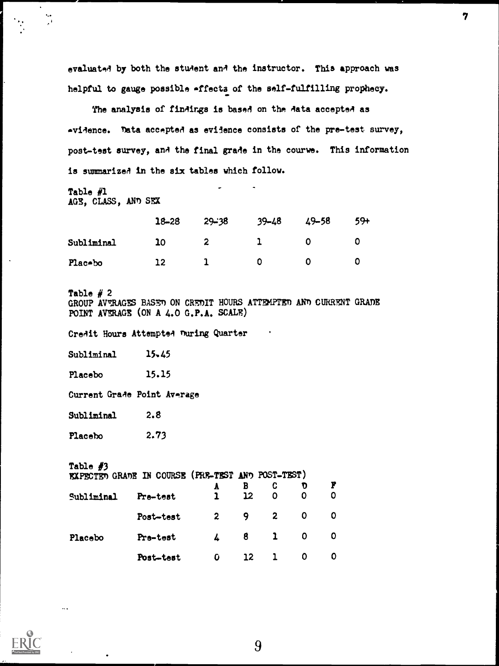evaluated by both the student and the instructor. This approach was helpful to gauge possible affecta of the self-fulfilling prophecy.

7

The analysis of findings is based on the data accepted as evidence. Tata accepted as evidence consists of the pre-test survey, post-test survey, anA the final grade in the courwe. This information is summarizeA in the six tables which follow.

Table #1 AGE, CLASS, AND SEX

 $\frac{1}{2}$ 

|            | $18 - 28$ | $29 - 38$ | $39 - 48$ | $49 - 58$ | $59+$ |
|------------|-----------|-----------|-----------|-----------|-------|
| Subliminal | 10        |           |           |           |       |
| Plac-bo    | 12        |           | D.        |           |       |

Table  $# 2$ GROUP AVERAGES BASED ON CREDIT HOURS ATTEMPTED AND CURRENT GRADE POINT AVERAGE (ON A  $4.0 G.P.A.$  SCALE)

Credit Hours Attempted nuring Quarter

Subliminal 15.45

Placebo 15.15

Current Grade Point Average

Subliminal 2.8

Placebo 2.73

| Table $#3$<br>EXPECTED GRADE IN COURSE (PRE-TEST AND POST-TEST) |           |              |                         |                |              |                          |  |  |
|-----------------------------------------------------------------|-----------|--------------|-------------------------|----------------|--------------|--------------------------|--|--|
|                                                                 |           | $\mathbf{A}$ | $\overline{\mathbf{B}}$ | -C             | $\mathbf{D}$ |                          |  |  |
| Subliminal                                                      | Pre-test  | $\mathbf{1}$ | 12                      | $\overline{0}$ | $\mathbf 0$  | $\mathbf{O}$             |  |  |
|                                                                 | Post-test | $2 \qquad 9$ |                         | $\overline{z}$ | 0            | $\overline{\phantom{0}}$ |  |  |
| Placebo                                                         | Pre-test  | $\sqrt{4}$ 8 |                         | $\mathbf{1}$   | <b>O</b>     | . O                      |  |  |
|                                                                 | Post-test | O            | <b>12</b>               |                | 0            | O                        |  |  |

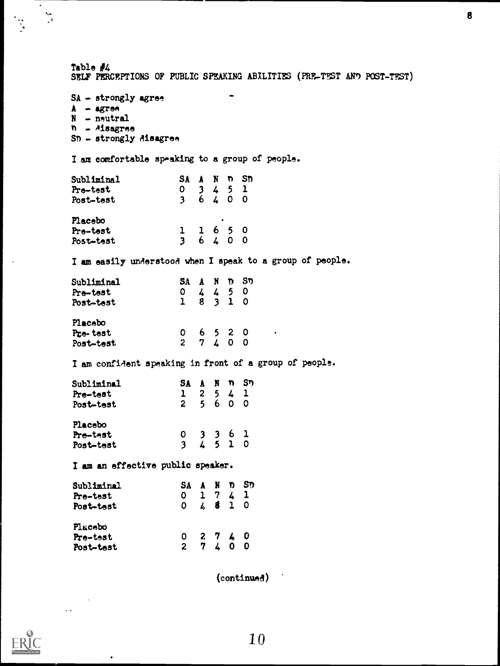| Table $#4$                                                                                          |                                                                               |                  | SELF PERCEPTIONS OF PUBLIC SPEAKING ABILITIES (PRE-TEST AND POST-TEST) |
|-----------------------------------------------------------------------------------------------------|-------------------------------------------------------------------------------|------------------|------------------------------------------------------------------------|
| $SA - strongly agree.$<br>$A - a$ gree<br>$N - neutral$<br>n - Misagree<br>$SD - strongly$ disagree |                                                                               |                  |                                                                        |
| I am comfortable speaking to a group of people.                                                     |                                                                               |                  |                                                                        |
| Subliminal                                                                                          | SA A N n Sn                                                                   |                  |                                                                        |
| Pre-test                                                                                            | $\begin{array}{ccccccc}\n0 & 3 & 4 & 5 & 1 \\ 3 & 6 & 4 & 0 & 0\n\end{array}$ |                  |                                                                        |
| Post-test                                                                                           |                                                                               |                  |                                                                        |
| Placebo                                                                                             |                                                                               |                  |                                                                        |
| Pre-test                                                                                            | $\begin{array}{ccccccc}\n1 & 1 & 6 & 5 & 0 \\ 3 & 6 & 4 & 0 & 0\n\end{array}$ |                  |                                                                        |
| Post-test                                                                                           |                                                                               |                  |                                                                        |
|                                                                                                     |                                                                               |                  | I am easily understood when I speak to a group of people.              |
| Subliminal                                                                                          |                                                                               |                  |                                                                        |
| Pre-test                                                                                            | SA A N D SD<br>0 4 4 5 0<br>1 8 3 1 0                                         |                  |                                                                        |
| Post-test                                                                                           |                                                                               |                  |                                                                        |
| Placebo                                                                                             |                                                                               |                  |                                                                        |
| Pre-test                                                                                            | $0 6 5 2 0$<br>2 7 4 0 0                                                      |                  |                                                                        |
| Post-test                                                                                           |                                                                               |                  |                                                                        |
| I am confident speaking in front of a group of people.                                              |                                                                               |                  |                                                                        |
| Subliminal                                                                                          |                                                                               |                  |                                                                        |
| Pre-test                                                                                            | SA A N n Sn<br>1 2 5 4 1<br>2 5 6 0 0                                         |                  |                                                                        |
| Post-test                                                                                           |                                                                               |                  |                                                                        |
| Placebo                                                                                             |                                                                               |                  |                                                                        |
| Pre-test                                                                                            | $\begin{array}{ccccccc} 0 & 3 & 3 & 6 & 1 \\ 3 & 4 & 5 & 1 & 0 \end{array}$   |                  |                                                                        |
| Post-test                                                                                           |                                                                               |                  |                                                                        |
| I am an effective public speaker.                                                                   |                                                                               |                  |                                                                        |
| Subliminal                                                                                          | SA A N D SD                                                                   |                  |                                                                        |
| Pre-test                                                                                            | $\begin{array}{ccccccc}\n0 & 1 & 7 & 4 & 1 \\ 0 & 4 & 8 & 1 & 0\n\end{array}$ |                  |                                                                        |
| Post-test                                                                                           |                                                                               |                  |                                                                        |
| Placebo                                                                                             |                                                                               |                  |                                                                        |
| Pre-test                                                                                            | $\frac{0}{2}$                                                                 | $2740$<br>$7400$ |                                                                        |
| Post-test                                                                                           |                                                                               |                  |                                                                        |
|                                                                                                     |                                                                               |                  |                                                                        |

8

(continued)



 $\sim$ 

 $\bullet$ 

 $\bar{\phantom{a}}$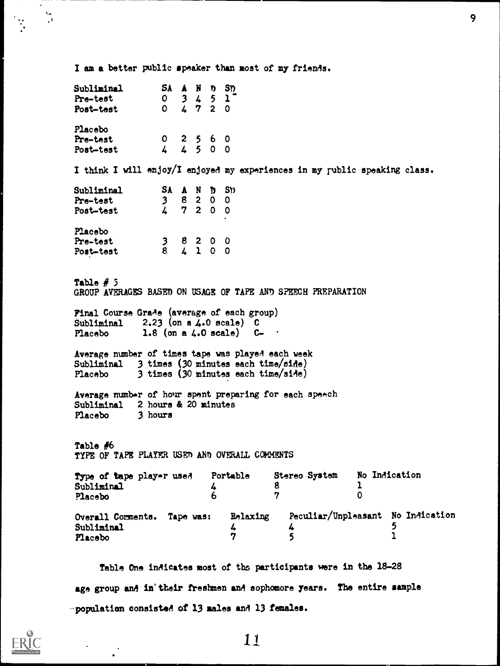I am a better public speaker than most of my friends.

| Subliminal<br>Pre-test<br>Post-test                                                                                                |                                                                              |  | SA A N D SD<br>$\begin{array}{ccccccc} 0 & 3 & 4 & 5 & 1 \\ 0 & 4 & 7 & 2 & 0 \end{array}$ |                                                                                                                                                                                                              |
|------------------------------------------------------------------------------------------------------------------------------------|------------------------------------------------------------------------------|--|--------------------------------------------------------------------------------------------|--------------------------------------------------------------------------------------------------------------------------------------------------------------------------------------------------------------|
| Placebo                                                                                                                            |                                                                              |  |                                                                                            |                                                                                                                                                                                                              |
| Pre-test                                                                                                                           |                                                                              |  | $\begin{array}{ccccccccc}\n0 & 2 & 5 & 6 & 0 \\ 4 & 4 & 5 & 0 & 0\n\end{array}$            |                                                                                                                                                                                                              |
| Post-test                                                                                                                          |                                                                              |  |                                                                                            |                                                                                                                                                                                                              |
|                                                                                                                                    |                                                                              |  |                                                                                            | I think I will enjoy/I enjoyed my experiences in my public speaking class.                                                                                                                                   |
| Subliminal                                                                                                                         |                                                                              |  | SA A N D SD                                                                                |                                                                                                                                                                                                              |
| Pre-test                                                                                                                           | 3 <sup>7</sup>                                                               |  |                                                                                            |                                                                                                                                                                                                              |
| Post-test                                                                                                                          |                                                                              |  | $\begin{array}{ccc} 7 & 0 & 0 & 0 \\ 3 & 8 & 2 & 0 & 0 \\ 4 & 7 & 2 & 0 & 0 \end{array}$   |                                                                                                                                                                                                              |
| Placebo                                                                                                                            |                                                                              |  |                                                                                            |                                                                                                                                                                                                              |
| Pre-test                                                                                                                           |                                                                              |  |                                                                                            |                                                                                                                                                                                                              |
| Post-test                                                                                                                          | $\begin{array}{rrrr} & 3 & 8 & 2 & 0 & 0 \\ & 8 & 4 & 1 & 0 & 0 \end{array}$ |  |                                                                                            |                                                                                                                                                                                                              |
| Table $# 5$<br>Final Course Grade (average of each group)                                                                          |                                                                              |  |                                                                                            | GROUP AVERAGES BASED ON USAGE OF TAPE AND SPEECH PREPARATION                                                                                                                                                 |
| Subliminal $2.23$ (on a 4.0 scale) C<br>Placebo 1.8 (on a $4.0$ scale) $C -$<br>Subliminal 2 hours & 20 minutes<br>Placebo 3 hours |                                                                              |  |                                                                                            | Average number of times tape was played each week<br>Subliminal 3 times (30 minutes each time/side)<br>Placebo 3 times (30 minutes each time/side)<br>Average number of hour spent preparing for each speech |
| TYPE OF TAPE PLAYER USED AND OVERALL COMMENTS                                                                                      |                                                                              |  |                                                                                            |                                                                                                                                                                                                              |
| Table #6<br>Type of tape player used Portable                                                                                      |                                                                              |  |                                                                                            | No Indication<br>Stereo System                                                                                                                                                                               |
| Subliminal                                                                                                                         |                                                                              |  | 4                                                                                          | 8<br>ı                                                                                                                                                                                                       |
| Placebo                                                                                                                            |                                                                              |  | 6                                                                                          | 7<br>$\mathbf 0$                                                                                                                                                                                             |
| Overall Comments. Tape was:                                                                                                        |                                                                              |  |                                                                                            | Peculiar/Unpleasant No Indication<br>Relaxing                                                                                                                                                                |
| Subliminal                                                                                                                         |                                                                              |  |                                                                                            | 5<br>4<br>4<br>$\mathbf{I}$<br>5<br>7                                                                                                                                                                        |

Table One indicates most of the participants were in the 18-28 age group and in'their freshmen and sophomore years. The entire sample -population consisted of 13 males and 13 females.



 $\frac{1}{\sqrt{2}}$ 

11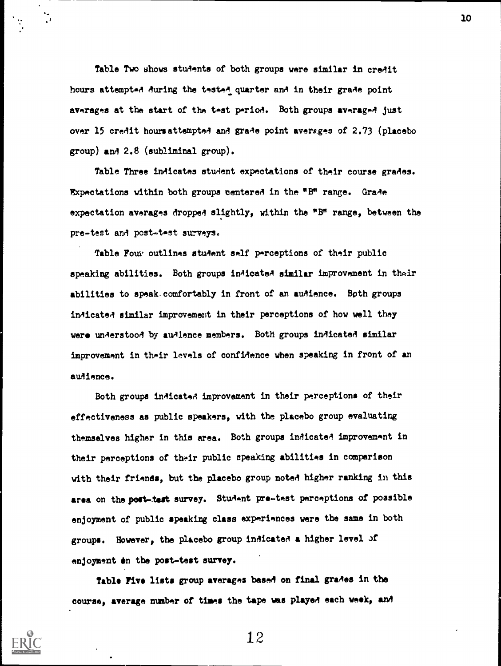Table Two shows students of both groups were similar in credit hours attempted during the tested quarter and in their grade point averages at the start of the test period. Both groups averaged just over 15 credit hours attempted and grade point averages of 2.73 (placebo group) and 2.8 (subliminal group).

Table Three indicates student expectations of their course grades. Expectations within both groups centered in the "B" range. Grade expectation averages dropped slightly, within the "B" range, between the pre-test and post-test surveys.

Table Four outlines student self perceptions of their public speaking abilities. Both groups indicated similar improvement in their abilities to speak.comfortably in front of an audience. Both groups indicated similar improvement in their perceptions of how well they were understood by audience members. Both groups indicated similar improvement in their levels of confidence when speaking in front of an audience.

Both groups indicated improvement in their perceptions of their effectiveness as public speakers, with the placebo group evaluating themselves higher in this area. Both groups inAicate4 improvement in their perceptions of their public speaking abilities in comparison with their friends, but the placebo group noted higher ranking in this area on the post-test survey. Student pre-test perceptions of possible enjoyment of public speaking class experiences were the same in both groups. However, the placebo group indicated a higher level Jf enjoyment en the post-test survey.

Table Five lists group averages based on final grades in the course, average number of times the tape was playel each week, and



12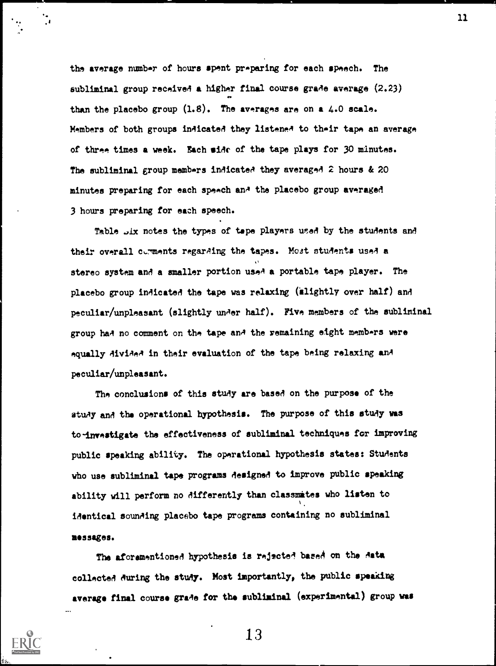the average number of hours spent preparing for each speech. The subliminal group received a higher final course grade average (2.23) than the placebo group  $(1.8)$ . The averages are on a 4.0 scale. Members of both groups indicated they listened to their tape an average of three times a week. Each side of the tape plays for 30 minutes. The subliminal group members indicated they averaged 2 hours & 20 minutes preparing for each speech an' the placebo group averaged 3 hours preparing for each speech.

Table .six notes the types of tape players used by the students and their overall cumments regarding the tapes. Most students used a stereo system and a smaller portion used a portable tape player. The placebo group indicated the tape was relaxing (alightly over half) and peculiar/unpleasant (slightly under half). Five members of the subliminal group had no comment on the tape and the remaining eight members were equally AiviAeA in their evaluation of the tape being relaxing and peculiar/unpleasant.

The conclusions of this study are based on the purpose of the stuAy and the operational hypothesis. The purpose of this study was to-investigate the effectiveness of subliminal techniques for improving public speaking ability. The operational hypothesis states: Students who use subliminal tape programs designed to improve public speaking ability will perform no differently than classmates who listen to identical sounding placebo tape programs containing no subliminal messages.

The aforementioned hypothesis is rejected bared on the Aata collected during the study. Most importantly, the public speaking average final course grade for the subliminal (experimental) group was



13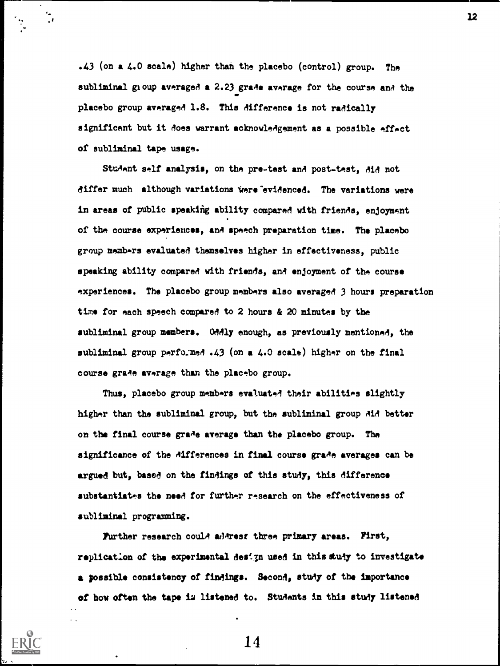.43 (on a 4.0 scale) higher thah the placebo (control) group. The subliminal group averaged a 2.23 grade average for the course and the placebo group averaged 1.8. This difference is not radically significant but it Aoes warrant acknowledgement as a possible effect of subliminal tape usage.

Sturient self analysis, on the pre-test and post-test, AiA not differ much although variations were evidenced. The variations were in areas of public speaking ability compared with friends, enjoyment of the course experiences, and speech preparation time. The placebo group members evaluated themselves higher in effectiveness, public speaking ability compared with friends, and enjoyment of the course experiences. The placebo group members also averaged 3 hours preparation time for each speech compared to 2 hours & 20 minutes by the subliminal group members. Oddly enough, as previously mentioned, the subliminal group performed .43 (on a 4.0 scale) higher on the final course grade average than the placebo group.

Thus, placebo group members evaluated their abilities slightly higher than the subliminal group, but the subliminal group did bettor on the final course grade average than the placebo group. The significance of the differences in final course grade averages can be argued but, based on the findings of this study, this difference substantiates the need for further research on the effectiveness of subliminal programming.

Purther research could adArest three primary areas. First, replication of the experimental design used in this study to investigate a possible consistency of findings. Second, study of the importance of how often the tape iu listened to. Students in this study listened

14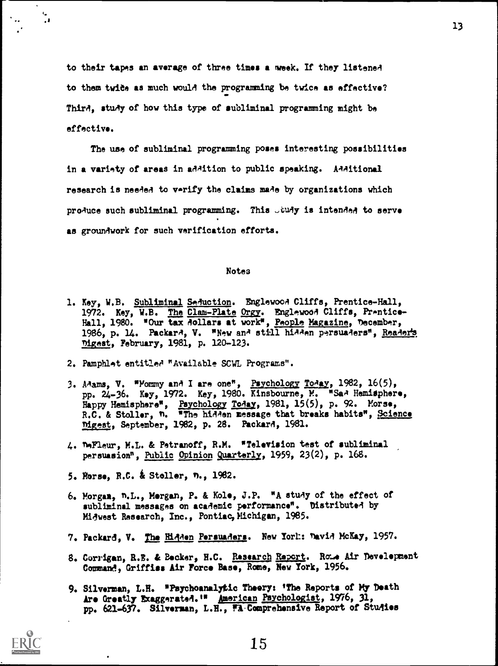to their tapes an average of three times a week. If they listened to them twice as much woulA the programming be twice as effective? Third, study of how this type of subliminal programming might be effective.

The use of subliminal programming poses interesting possibilities in a variety of areas in addition to public speaking. Additional research is needed to verify the claims made by organizations which produce such subliminal programming. This  $\tilde{\omega}$ udy is intended to serve as groundwork for such verification efforts.

#### Notes

- 1. Key, W.B. Subliminal Seduction. Englewood Cliffs, Prentice-Hall, 1972. Key, W.B. The Clam-Plate Orgy. Englewood Cliffs, Prentice-Hall, 1980. "Our tax dollars at work", People Magazine, December, 1986, p. 14. Packard, V. "New and still hidden persuaders", Reader's Digest, February, 1981, p. 120-123.
- 2. Pamphlet entitled "Available SCWL Programs".
- 3. Adams, V. "Yommy and I are one", Psychology Today, 1982, 16(5), pp. 24-36. Key, 1972. Key, 1980. Kinsbourne, M. WSad Hemisphere, Happy Hemisphere", Psychology Today, 1981, 15(5), p. 92. Morse, R.C. & Stoller, n. "The hidden message that breaks habits", Science ydgest, September, 1982, p. 28. Packard, 1981.
- 4. %Fleur, M.L. & Petranoff, R.M. "Television test of subliminal persuasion", <u>Public Opinion Quarterly</u>, 1959, 23(2), p. 168.
- 5. Morse, B.C. Stoller, n., 1982.
- 6. Morgan, n.L., Morgan, P. & Kole, J.P. "A stuAy of the effect of subliminal messages on academic performance". Distributed by Midwest Research, Inc., Pontiac, Michigan, 1985.
- 7. Packard, V. The Hidden Persuaders. New York: David McKay, 1957.
- 8. Corrigan, R.E. & Becker, H.C. Rassarch Report. Rome Air Development Command, Griffis: Air Force Base, Rome, New York, 1956.
- 9. Silverman, L.H. "Psychoanalytic Theory: 'The Reports of My Death Are Greatly Exaggerated.'" American Psychologist, 1976, 31, pp. 621-637. Silverman, L.E., FA-Comprehensive Report of Studies



 $\cdot$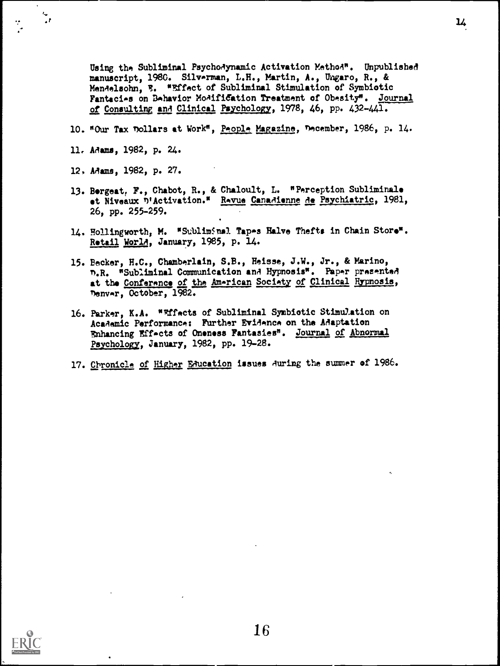Using the Subliminal Psychodynamic Activation Method". Unpublished manuscript, 1980. Silverman, L.H., Martin, A., Ungaro, R., & Mendelsohn, E. "Effect of Subliminal Stimulation of Symbiotic Fantacies on Behavior Modification Treatment of Obesity". Journal of Consulting and Clinical Psychology, 1978, 46, pp. 432-441.

- 10. "Our Tax Dollars at Work", People Magazine, December, 1986, p. 14.
- 11, Adama, 1982, p. 24.

 $\mathbf{r}$ 

- 12, Adams, 1982, p. 27.
- 13. Bergeat, F., Chabot, R., & Chaloult, L. "Perception Subliminale et Niveaux <sup>n</sup>'Activation.<sup>"</sup> Revue Canadienne de Psychiatric, 1981, 26, pp. 255-259.
- 14. Hollingworth, M. "Subliminal Tapes Halve Thefts in Chain Store". Retail World, January, 1985, p. 14.
- 15. Becker, H.C., Chamberlain, S.B., Heisse, J.W., Jr., & Marino, T.R. ) "Subliminal Communication and Hypnosis". Paper presented at the Conference of the American Society of Clinical Hypnosis, nenvar, October, 1982.
- 16. Parker, K.A. "rtfects of Subliminal Symbiotic Stimulation on Academic Performance: Further Evidence on the Adaptation Enhancing Effects of Oneness Fantasies". Journal of Abnormal Psychology, January, 1982, pp. 19-28.
- 17. Chronicle of Higher Education issues during the summer of 1986.



 $\mathbf{u}$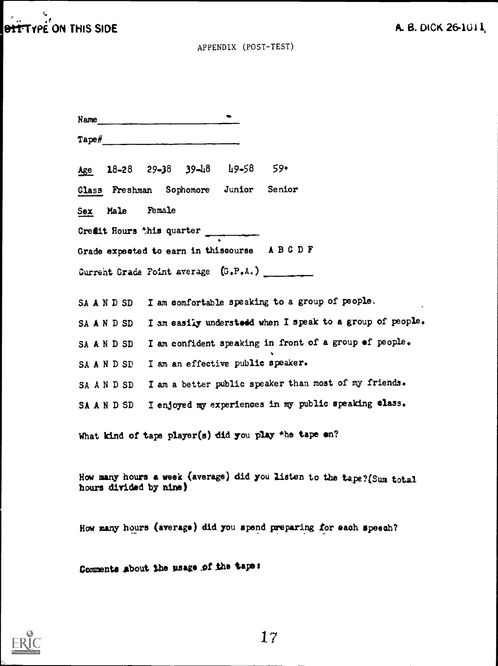|                 |                                                                                                                                                                                                                                                                                                                                                                                                                                                        | APPENDIX (POST-TEST)                   |                                                                        |  |
|-----------------|--------------------------------------------------------------------------------------------------------------------------------------------------------------------------------------------------------------------------------------------------------------------------------------------------------------------------------------------------------------------------------------------------------------------------------------------------------|----------------------------------------|------------------------------------------------------------------------|--|
|                 |                                                                                                                                                                                                                                                                                                                                                                                                                                                        |                                        |                                                                        |  |
|                 | Name                                                                                                                                                                                                                                                                                                                                                                                                                                                   |                                        |                                                                        |  |
|                 | $\mathsf{Tape\#}\hspace{0.05cm}\underbrace{\hspace{0.05cm}}\hspace{0.05cm}\underbrace{\hspace{0.05cm}}\hspace{0.05cm}\underbrace{\hspace{0.05cm}}\hspace{0.05cm}\underbrace{\hspace{0.05cm}}\hspace{0.05cm}\underbrace{\hspace{0.05cm}}\hspace{0.05cm}\underbrace{\hspace{0.05cm}}\hspace{0.05cm}\underbrace{\hspace{0.05cm}}\hspace{0.05cm}\underbrace{\hspace{0.05cm}}\hspace{0.05cm}\underbrace{\hspace{0.05cm}}\hspace{0.05cm}\underbrace{\hspace$ |                                        |                                                                        |  |
|                 |                                                                                                                                                                                                                                                                                                                                                                                                                                                        | Age 18-28 29-38 39-48 49-58 59+        |                                                                        |  |
|                 |                                                                                                                                                                                                                                                                                                                                                                                                                                                        | Class Freshman Sophomore Junior Senior |                                                                        |  |
| Sex Male Female |                                                                                                                                                                                                                                                                                                                                                                                                                                                        |                                        |                                                                        |  |
|                 |                                                                                                                                                                                                                                                                                                                                                                                                                                                        | Credit Hours this quarter              |                                                                        |  |
|                 |                                                                                                                                                                                                                                                                                                                                                                                                                                                        |                                        | Grade expected to earn in thiscourse ABCDF                             |  |
|                 |                                                                                                                                                                                                                                                                                                                                                                                                                                                        |                                        | Current Grade Foint average (G.P.A.)                                   |  |
|                 |                                                                                                                                                                                                                                                                                                                                                                                                                                                        |                                        |                                                                        |  |
|                 |                                                                                                                                                                                                                                                                                                                                                                                                                                                        |                                        | SA A N D SD I am comfortable speaking to a group of people.            |  |
| SA A N D SD     |                                                                                                                                                                                                                                                                                                                                                                                                                                                        |                                        | I am easily understedd when I speak to a group of people.              |  |
| SA A N D SD     |                                                                                                                                                                                                                                                                                                                                                                                                                                                        |                                        | I am confident speaking in front of a group of people.                 |  |
| SAANDSD         |                                                                                                                                                                                                                                                                                                                                                                                                                                                        |                                        | I am an effective public speaker.                                      |  |
| SA A N D SD     |                                                                                                                                                                                                                                                                                                                                                                                                                                                        |                                        | I am a better public speaker than most of my friends.                  |  |
| SA A N D SD     |                                                                                                                                                                                                                                                                                                                                                                                                                                                        |                                        | I enjoyed my experiences in my public speaking class.                  |  |
|                 |                                                                                                                                                                                                                                                                                                                                                                                                                                                        |                                        | What kind of tape player(s) did you play the tape on?                  |  |
|                 |                                                                                                                                                                                                                                                                                                                                                                                                                                                        |                                        |                                                                        |  |
|                 | hours divided by nine)                                                                                                                                                                                                                                                                                                                                                                                                                                 |                                        | How many hours a week (average) did you listen to the tape? (Sum total |  |
|                 |                                                                                                                                                                                                                                                                                                                                                                                                                                                        |                                        | How many hours (average) did you spend preparing for each speech?      |  |
|                 |                                                                                                                                                                                                                                                                                                                                                                                                                                                        |                                        |                                                                        |  |

Comments about the usage of the tape:



 $\mathbf{c}$  and  $\mathbf{c}$